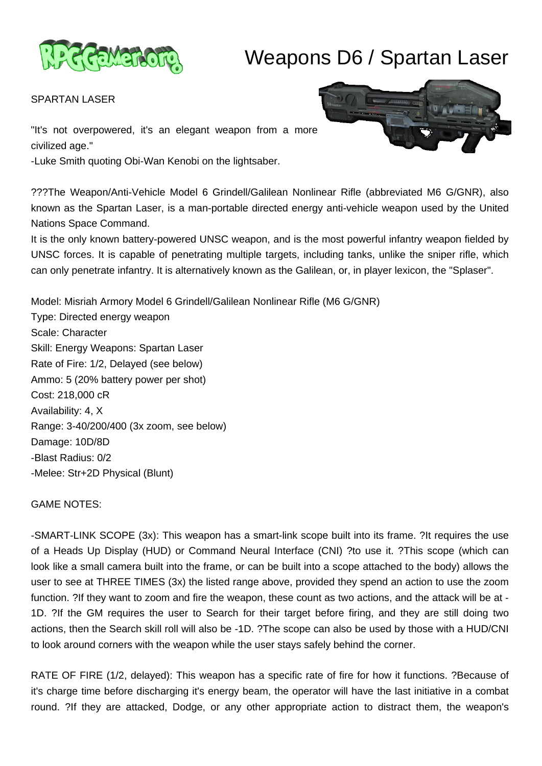

# Weapons D6 / Spartan Laser

SPARTAN LASER

"It's not overpowered, it's an elegant weapon from a more civilized age."

-Luke Smith quoting Obi-Wan Kenobi on the lightsaber.

???The Weapon/Anti-Vehicle Model 6 Grindell/Galilean Nonlinear Rifle (abbreviated M6 G/GNR), also known as the Spartan Laser, is a man-portable directed energy anti-vehicle weapon used by the United Nations Space Command.

It is the only known battery-powered UNSC weapon, and is the most powerful infantry weapon fielded by UNSC forces. It is capable of penetrating multiple targets, including tanks, unlike the sniper rifle, which can only penetrate infantry. It is alternatively known as the Galilean, or, in player lexicon, the "Splaser".

Model: Misriah Armory Model 6 Grindell/Galilean Nonlinear Rifle (M6 G/GNR) Type: Directed energy weapon Scale: Character Skill: Energy Weapons: Spartan Laser Rate of Fire: 1/2, Delayed (see below) Ammo: 5 (20% battery power per shot) Cost: 218,000 cR Availability: 4, X Range: 3-40/200/400 (3x zoom, see below) Damage: 10D/8D -Blast Radius: 0/2 -Melee: Str+2D Physical (Blunt)

GAME NOTES:

-SMART-LINK SCOPE (3x): This weapon has a smart-link scope built into its frame. ?It requires the use of a Heads Up Display (HUD) or Command Neural Interface (CNI) ?to use it. ?This scope (which can look like a small camera built into the frame, or can be built into a scope attached to the body) allows the user to see at THREE TIMES (3x) the listed range above, provided they spend an action to use the zoom function. ?If they want to zoom and fire the weapon, these count as two actions, and the attack will be at - 1D. ?If the GM requires the user to Search for their target before firing, and they are still doing two actions, then the Search skill roll will also be -1D. ?The scope can also be used by those with a HUD/CNI to look around corners with the weapon while the user stays safely behind the corner.

RATE OF FIRE (1/2, delayed): This weapon has a specific rate of fire for how it functions. ?Because of it's charge time before discharging it's energy beam, the operator will have the last initiative in a combat round. ?If they are attacked, Dodge, or any other appropriate action to distract them, the weapon's

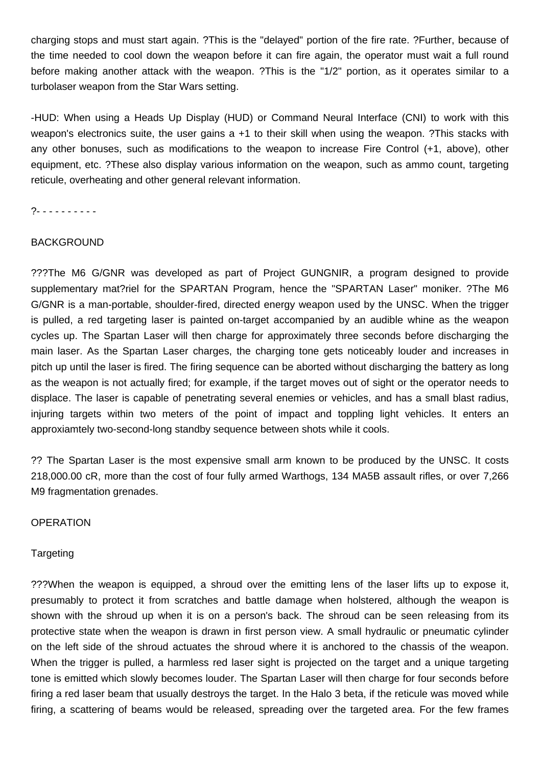charging stops and must start again. ?This is the "delayed" portion of the fire rate. ?Further, because of the time needed to cool down the weapon before it can fire again, the operator must wait a full round before making another attack with the weapon. ?This is the "1/2" portion, as it operates similar to a turbolaser weapon from the Star Wars setting.

-HUD: When using a Heads Up Display (HUD) or Command Neural Interface (CNI) to work with this weapon's electronics suite, the user gains a +1 to their skill when using the weapon. ?This stacks with any other bonuses, such as modifications to the weapon to increase Fire Control (+1, above), other equipment, etc. ?These also display various information on the weapon, such as ammo count, targeting reticule, overheating and other general relevant information.

?- - - - - - - - - -

# BACKGROUND

???The M6 G/GNR was developed as part of Project GUNGNIR, a program designed to provide supplementary mat?riel for the SPARTAN Program, hence the "SPARTAN Laser" moniker. ?The M6 G/GNR is a man-portable, shoulder-fired, directed energy weapon used by the UNSC. When the trigger is pulled, a red targeting laser is painted on-target accompanied by an audible whine as the weapon cycles up. The Spartan Laser will then charge for approximately three seconds before discharging the main laser. As the Spartan Laser charges, the charging tone gets noticeably louder and increases in pitch up until the laser is fired. The firing sequence can be aborted without discharging the battery as long as the weapon is not actually fired; for example, if the target moves out of sight or the operator needs to displace. The laser is capable of penetrating several enemies or vehicles, and has a small blast radius, injuring targets within two meters of the point of impact and toppling light vehicles. It enters an approxiamtely two-second-long standby sequence between shots while it cools.

?? The Spartan Laser is the most expensive small arm known to be produced by the UNSC. It costs 218,000.00 cR, more than the cost of four fully armed Warthogs, 134 MA5B assault rifles, or over 7,266 M9 fragmentation grenades.

**OPERATION** 

# **Targeting**

???When the weapon is equipped, a shroud over the emitting lens of the laser lifts up to expose it, presumably to protect it from scratches and battle damage when holstered, although the weapon is shown with the shroud up when it is on a person's back. The shroud can be seen releasing from its protective state when the weapon is drawn in first person view. A small hydraulic or pneumatic cylinder on the left side of the shroud actuates the shroud where it is anchored to the chassis of the weapon. When the trigger is pulled, a harmless red laser sight is projected on the target and a unique targeting tone is emitted which slowly becomes louder. The Spartan Laser will then charge for four seconds before firing a red laser beam that usually destroys the target. In the Halo 3 beta, if the reticule was moved while firing, a scattering of beams would be released, spreading over the targeted area. For the few frames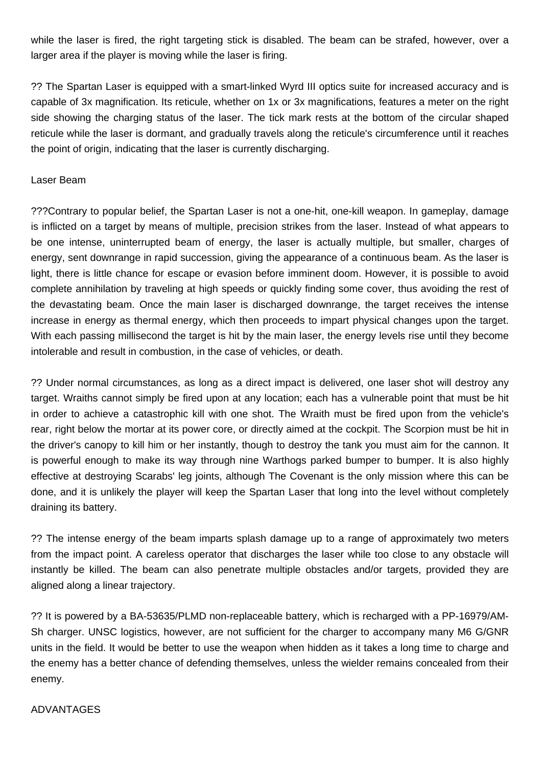while the laser is fired, the right targeting stick is disabled. The beam can be strafed, however, over a larger area if the player is moving while the laser is firing.

?? The Spartan Laser is equipped with a smart-linked Wyrd III optics suite for increased accuracy and is capable of 3x magnification. Its reticule, whether on 1x or 3x magnifications, features a meter on the right side showing the charging status of the laser. The tick mark rests at the bottom of the circular shaped reticule while the laser is dormant, and gradually travels along the reticule's circumference until it reaches the point of origin, indicating that the laser is currently discharging.

# Laser Beam

???Contrary to popular belief, the Spartan Laser is not a one-hit, one-kill weapon. In gameplay, damage is inflicted on a target by means of multiple, precision strikes from the laser. Instead of what appears to be one intense, uninterrupted beam of energy, the laser is actually multiple, but smaller, charges of energy, sent downrange in rapid succession, giving the appearance of a continuous beam. As the laser is light, there is little chance for escape or evasion before imminent doom. However, it is possible to avoid complete annihilation by traveling at high speeds or quickly finding some cover, thus avoiding the rest of the devastating beam. Once the main laser is discharged downrange, the target receives the intense increase in energy as thermal energy, which then proceeds to impart physical changes upon the target. With each passing millisecond the target is hit by the main laser, the energy levels rise until they become intolerable and result in combustion, in the case of vehicles, or death.

?? Under normal circumstances, as long as a direct impact is delivered, one laser shot will destroy any target. Wraiths cannot simply be fired upon at any location; each has a vulnerable point that must be hit in order to achieve a catastrophic kill with one shot. The Wraith must be fired upon from the vehicle's rear, right below the mortar at its power core, or directly aimed at the cockpit. The Scorpion must be hit in the driver's canopy to kill him or her instantly, though to destroy the tank you must aim for the cannon. It is powerful enough to make its way through nine Warthogs parked bumper to bumper. It is also highly effective at destroying Scarabs' leg joints, although The Covenant is the only mission where this can be done, and it is unlikely the player will keep the Spartan Laser that long into the level without completely draining its battery.

?? The intense energy of the beam imparts splash damage up to a range of approximately two meters from the impact point. A careless operator that discharges the laser while too close to any obstacle will instantly be killed. The beam can also penetrate multiple obstacles and/or targets, provided they are aligned along a linear trajectory.

?? It is powered by a BA-53635/PLMD non-replaceable battery, which is recharged with a PP-16979/AM-Sh charger. UNSC logistics, however, are not sufficient for the charger to accompany many M6 G/GNR units in the field. It would be better to use the weapon when hidden as it takes a long time to charge and the enemy has a better chance of defending themselves, unless the wielder remains concealed from their enemy.

# ADVANTAGES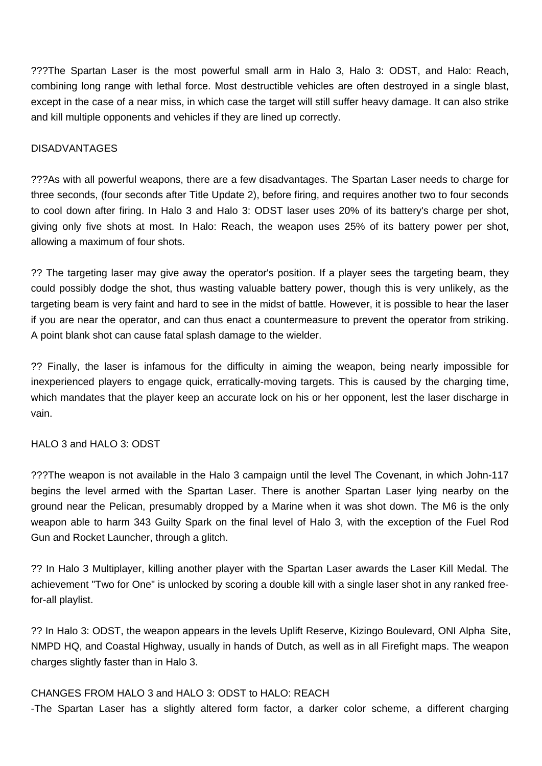???The Spartan Laser is the most powerful small arm in Halo 3, Halo 3: ODST, and Halo: Reach, combining long range with lethal force. Most destructible vehicles are often destroyed in a single blast, except in the case of a near miss, in which case the target will still suffer heavy damage. It can also strike and kill multiple opponents and vehicles if they are lined up correctly.

# DISADVANTAGES

???As with all powerful weapons, there are a few disadvantages. The Spartan Laser needs to charge for three seconds, (four seconds after Title Update 2), before firing, and requires another two to four seconds to cool down after firing. In Halo 3 and Halo 3: ODST laser uses 20% of its battery's charge per shot, giving only five shots at most. In Halo: Reach, the weapon uses 25% of its battery power per shot, allowing a maximum of four shots.

?? The targeting laser may give away the operator's position. If a player sees the targeting beam, they could possibly dodge the shot, thus wasting valuable battery power, though this is very unlikely, as the targeting beam is very faint and hard to see in the midst of battle. However, it is possible to hear the laser if you are near the operator, and can thus enact a countermeasure to prevent the operator from striking. A point blank shot can cause fatal splash damage to the wielder.

?? Finally, the laser is infamous for the difficulty in aiming the weapon, being nearly impossible for inexperienced players to engage quick, erratically-moving targets. This is caused by the charging time, which mandates that the player keep an accurate lock on his or her opponent, lest the laser discharge in vain.

# HALO 3 and HALO 3: ODST

???The weapon is not available in the Halo 3 campaign until the level The Covenant, in which John-117 begins the level armed with the Spartan Laser. There is another Spartan Laser lying nearby on the ground near the Pelican, presumably dropped by a Marine when it was shot down. The M6 is the only weapon able to harm 343 Guilty Spark on the final level of Halo 3, with the exception of the Fuel Rod Gun and Rocket Launcher, through a glitch.

?? In Halo 3 Multiplayer, killing another player with the Spartan Laser awards the Laser Kill Medal. The achievement "Two for One" is unlocked by scoring a double kill with a single laser shot in any ranked freefor-all playlist.

?? In Halo 3: ODST, the weapon appears in the levels Uplift Reserve, Kizingo Boulevard, ONI Alpha Site, NMPD HQ, and Coastal Highway, usually in hands of Dutch, as well as in all Firefight maps. The weapon charges slightly faster than in Halo 3.

# CHANGES FROM HALO 3 and HALO 3: ODST to HALO: REACH

-The Spartan Laser has a slightly altered form factor, a darker color scheme, a different charging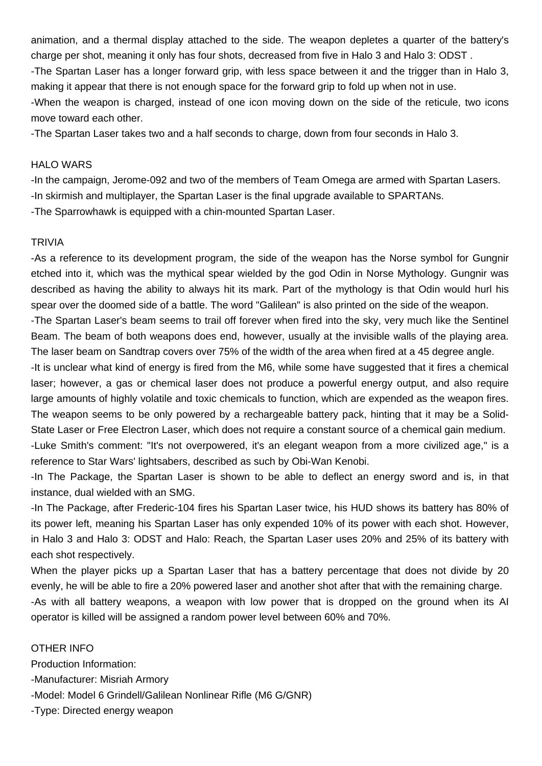animation, and a thermal display attached to the side. The weapon depletes a quarter of the battery's charge per shot, meaning it only has four shots, decreased from five in Halo 3 and Halo 3: ODST . -The Spartan Laser has a longer forward grip, with less space between it and the trigger than in Halo 3, making it appear that there is not enough space for the forward grip to fold up when not in use. -When the weapon is charged, instead of one icon moving down on the side of the reticule, two icons move toward each other.

-The Spartan Laser takes two and a half seconds to charge, down from four seconds in Halo 3.

#### HALO WARS

-In the campaign, Jerome-092 and two of the members of Team Omega are armed with Spartan Lasers. -In skirmish and multiplayer, the Spartan Laser is the final upgrade available to SPARTANs. -The Sparrowhawk is equipped with a chin-mounted Spartan Laser.

#### TRIVIA

-As a reference to its development program, the side of the weapon has the Norse symbol for Gungnir etched into it, which was the mythical spear wielded by the god Odin in Norse Mythology. Gungnir was described as having the ability to always hit its mark. Part of the mythology is that Odin would hurl his spear over the doomed side of a battle. The word "Galilean" is also printed on the side of the weapon.

-The Spartan Laser's beam seems to trail off forever when fired into the sky, very much like the Sentinel Beam. The beam of both weapons does end, however, usually at the invisible walls of the playing area. The laser beam on Sandtrap covers over 75% of the width of the area when fired at a 45 degree angle.

-It is unclear what kind of energy is fired from the M6, while some have suggested that it fires a chemical laser; however, a gas or chemical laser does not produce a powerful energy output, and also require large amounts of highly volatile and toxic chemicals to function, which are expended as the weapon fires. The weapon seems to be only powered by a rechargeable battery pack, hinting that it may be a Solid-State Laser or Free Electron Laser, which does not require a constant source of a chemical gain medium.

-Luke Smith's comment: "It's not overpowered, it's an elegant weapon from a more civilized age," is a reference to Star Wars' lightsabers, described as such by Obi-Wan Kenobi.

-In The Package, the Spartan Laser is shown to be able to deflect an energy sword and is, in that instance, dual wielded with an SMG.

-In The Package, after Frederic-104 fires his Spartan Laser twice, his HUD shows its battery has 80% of its power left, meaning his Spartan Laser has only expended 10% of its power with each shot. However, in Halo 3 and Halo 3: ODST and Halo: Reach, the Spartan Laser uses 20% and 25% of its battery with each shot respectively.

When the player picks up a Spartan Laser that has a battery percentage that does not divide by 20 evenly, he will be able to fire a 20% powered laser and another shot after that with the remaining charge. -As with all battery weapons, a weapon with low power that is dropped on the ground when its AI operator is killed will be assigned a random power level between 60% and 70%.

OTHER INFO Production Information: -Manufacturer: Misriah Armory -Model: Model 6 Grindell/Galilean Nonlinear Rifle (M6 G/GNR) -Type: Directed energy weapon